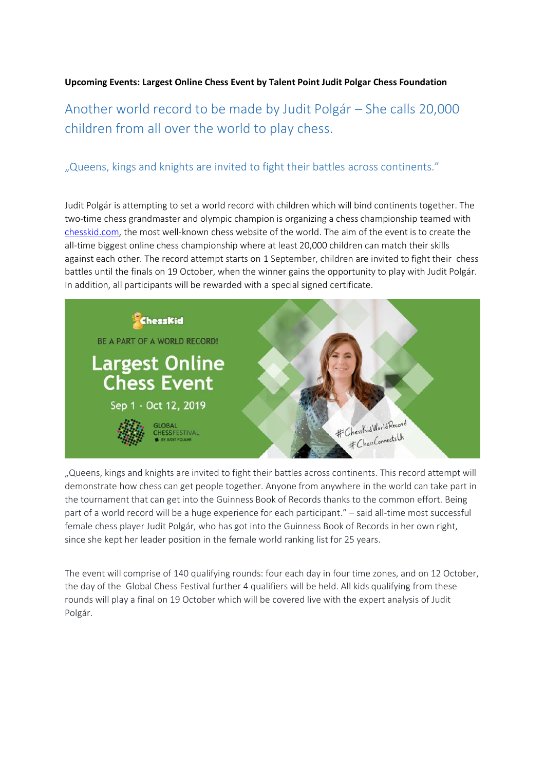## **Upcoming Events: Largest Online Chess Event by Talent Point Judit Polgar Chess Foundation**

## Another world record to be made by Judit Polgár – She calls 20,000 children from all over the world to play chess.

## "Queens, kings and knights are invited to fight their battles across continents."

Judit Polgár is attempting to set a world record with children which will bind continents together. The two-time chess grandmaster and olympic champion is organizing a chess championship teamed with [chesskid.com,](https://www.chesskid.com/) the most well-known chess website of the world. The aim of the event is to create the all-time biggest online chess championship where at least 20,000 children can match their skills against each other. The record attempt starts on 1 September, children are invited to fight their chess battles until the finals on 19 October, when the winner gains the opportunity to play with Judit Polgár. In addition, all participants will be rewarded with a special signed certificate.



"Queens, kings and knights are invited to fight their battles across continents. This record attempt will demonstrate how chess can get people together. Anyone from anywhere in the world can take part in the tournament that can get into the Guinness Book of Records thanks to the common effort. Being part of a world record will be a huge experience for each participant." – said all-time most successful female chess player Judit Polgár, who has got into the Guinness Book of Records in her own right, since she kept her leader position in the female world ranking list for 25 years.

The event will comprise of 140 qualifying rounds: four each day in four time zones, and on 12 October, the day of the Global Chess Festival further 4 qualifiers will be held. All kids qualifying from these rounds will play a final on 19 October which will be covered live with the expert analysis of Judit Polgár.